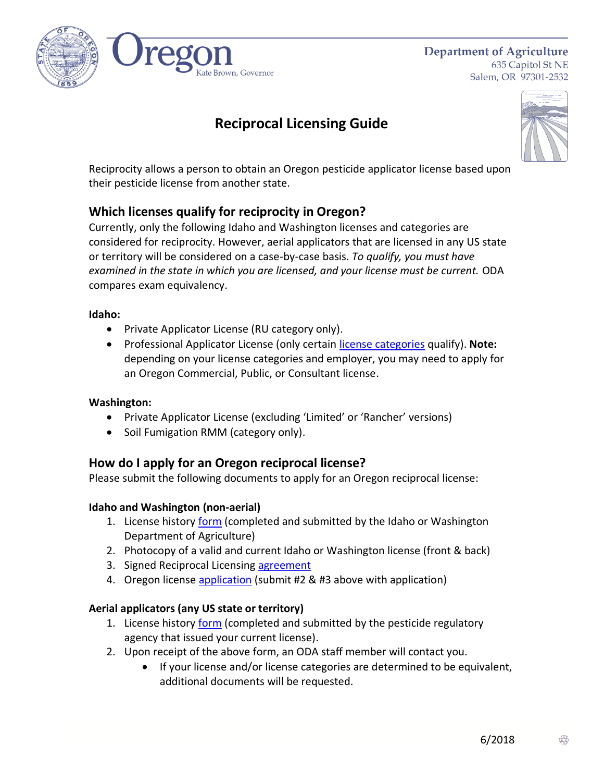

**Department of Agriculture** 635 Capitol St NE Salem, OR 97301-2532

# **Reciprocal Licensing Guide**



Reciprocity allows a person to obtain an Oregon pesticide applicator license based upon their pesticide license from another state.

# **Which licenses qualify for reciprocity in Oregon?**

Currently, only the following Idaho and Washington licenses and categories are considered for reciprocity. However, aerial applicators that are licensed in any US state or territory will be considered on a case-by-case basis. *To qualify, you must have examined in the state in which you are licensed, and your license must be current.* ODA compares exam equivalency.

#### **Idaho:**

- Private Applicator License (RU category only).
- Professional Applicator License (only certain [license categories](http://www.oregon.gov/ODA/shared/Documents/Publications/PesticidesPARC/IdahoReciprocalLicensingCategories.pdf) qualify). **Note:** depending on your license categories and employer, you may need to apply for an Oregon Commercial, Public, or Consultant license.

## **Washington:**

- Private Applicator License (excluding 'Limited' or 'Rancher' versions)
- Soil Fumigation RMM (category only).

# **How do I apply for an Oregon reciprocal license?**

Please submit the following documents to apply for an Oregon reciprocal license:

## **Idaho and Washington (non-aerial)**

- 1. License history [form](http://www.oregon.gov/ODA/shared/Documents/Publications/PesticidesPARC/OreRecipCertLicEligibilityVerification.pdf) (completed and submitted by the Idaho or Washington Department of Agriculture)
- 2. Photocopy of a valid and current Idaho or Washington license (front & back)
- 3. Signed Reciprocal Licensing [agreement](http://www.oregon.gov/ODA/shared/Documents/Publications/PesticidesPARC/ReciprocalLicensingAgreement.pdf)
- 4. Oregon license [application](http://www.oregon.gov/ODA/programs/Pesticides/Licensing/Pages/PesticideForms.aspx) (submit #2 & #3 above with application)

## **Aerial applicators (any US state or territory)**

- 1. License history [form](http://www.oregon.gov/ODA/shared/Documents/Publications/PesticidesPARC/OreRecipCertLicEligibilityVerification.pdf) (completed and submitted by the pesticide regulatory agency that issued your current license).
- 2. Upon receipt of the above form, an ODA staff member will contact you.
	- If your license and/or license categories are determined to be equivalent, additional documents will be requested.